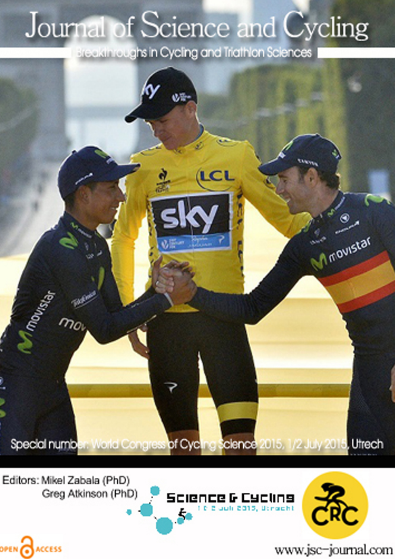# Journal of Science and Cycling

Breakthroughs in Cycling and Triathlon Sciences



Editors: Mikel Zabala (PhD) Greg Atkinson (PhD)

OPEN CACCESS





www.jsc-journal.com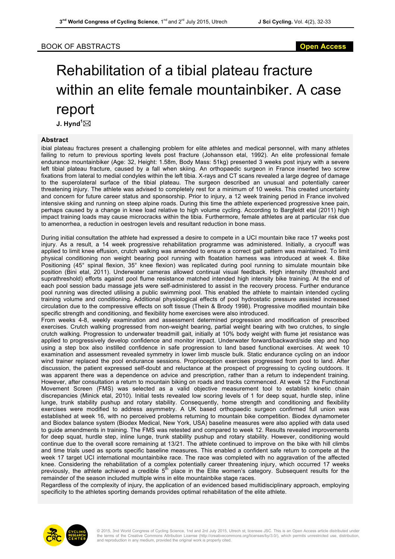### BOOK OF ABSTRACTS **Open Access**

## Rehabilitation of a tibial plateau fracture within an elite female mountainbiker. A case report

 $\mathsf{J}.$  Hynd $^1\!\boxtimes$ 

### **Abstract**

ibial plateau fractures present a challenging problem for elite athletes and medical personnel, with many athletes failing to return to previous sporting levels post fracture (Johansson etal, 1992). An elite professional female endurance mountainbiker (Age: 32, Height: 1.58m, Body Mass: 51kg) presented 3 weeks post injury with a severe left tibial plateau fracture, caused by a fall when skiing. An orthopaedic surgeon in France inserted two screw fixations from lateral to medial condyles within the left tibia. X-rays and CT scans revealed a large degree of damage to the superolateral surface of the tibial plateau. The surgeon described an unusual and potentially career threatening injury. The athlete was advised to completely rest for a minimum of 10 weeks. This created uncertainty and concern for future career status and sponsorship. Prior to injury, a 12 week training period in France involved intensive skiing and running on steep alpine roads. During this time the athlete experienced progressive knee pain, perhaps caused by a change in knee load relative to high volume cycling. According to Bargfeldt etal (2011) high impact training loads may cause microcracks within the tibia. Furthermore, female athletes are at particular risk due to amenorrhea, a reduction in oestrogen levels and resultant reduction in bone mass.

During initial consultation the athlete had expressed a desire to compete in a UCI mountain bike race 17 weeks post injury. As a result, a 14 week progressive rehabilitation programme was administered. Initially, a cryocuff was applied to limit knee effusion, crutch walking was amended to ensure a correct gait pattern was maintained. To limit physical conditioning non weight bearing pool running with floatation harness was introduced at week 4. Bike Positioning (45° spinal flexion, 35° knee flexion) was replicated during pool running to simulate mountain bike position (Bini etal, 2011). Underwater cameras allowed continual visual feedback. High intensity (threshold and suprathreshold) efforts against pool flume resistance matched intended high intensity bike training. At the end of each pool session badu massage jets were self-administered to assist in the recovery process. Further endurance pool running was directed utilising a public swimming pool. This enabled the athlete to maintain intended cycling training volume and conditioning. Additional physiological effects of pool hydrostatic pressure assisted increased circulation due to the compressive effects on soft tissue (Thein & Brody 1998). Progressive modified mountain bike specific strength and conditioning, and flexibility home exercises were also introduced.

From weeks 4-8, weekly examination and assessment determined progression and modification of prescribed exercises. Crutch walking progressed from non-weight bearing, partial weight bearing with two crutches, to single crutch walking. Progression to underwater treadmill gait, initially at 10% body weight with flume jet resistance was applied to progressively develop confidence and monitor impact. Underwater forward/backward/side step and hop using a step box also instilled confidence in safe progression to land based functional exercises. At week 10 examination and assessment revealed symmetry in lower limb muscle bulk. Static endurance cycling on an indoor wind trainer replaced the pool endurance sessions. Proprioception exercises progressed from pool to land. After discussion, the patient expressed self-doubt and reluctance at the prospect of progressing to cycling outdoors. It was apparent there was a dependence on advice and prescription, rather than a return to independent training. However, after consultation a return to mountain biking on roads and tracks commenced. At week 12 the Functional Movement Screen (FMS) was selected as a valid objective measurement tool to establish kinetic chain discrepancies (Minick etal, 2010). Initial tests revealed low scoring levels of 1 for deep squat, hurdle step, inline lunge, trunk stability pushup and rotary stability. Consequently, home strength and conditioning and flexibility exercises were modified to address asymmetry. A UK based orthopaedic surgeon confirmed full union was established at week 16, with no perceived problems returning to mountain bike competition. Biodex dynamometer and Biodex balance system (Biodex Medical, New York, USA) baseline measures were also applied with data used to guide amendments in training. The FMS was retested and compared to week 12. Results revealed improvements for deep squat, hurdle step, inline lunge, trunk stability pushup and rotary stability. However, conditioning would continue due to the overall score remaining at 13/21. The athlete continued to improve on the bike with hill climbs and time trials used as sports specific baseline measures. This enabled a confident safe return to compete at the week 17 target UCI international mountainbike race. The race was completed with no aggravation of the affected knee. Considering the rehabilitation of a complex potentially career threatening injury, which occurred 17 weeks previously, the athlete achieved a credible 5<sup>th</sup> place in the Elite women's category. Subsequent results for the remainder of the season included multiple wins in elite mountainbike stage races.

Regardless of the complexity of injury, the application of an evidenced based multidisciplinary approach, employing specificity to the athletes sporting demands provides optimal rehabilitation of the elite athlete.